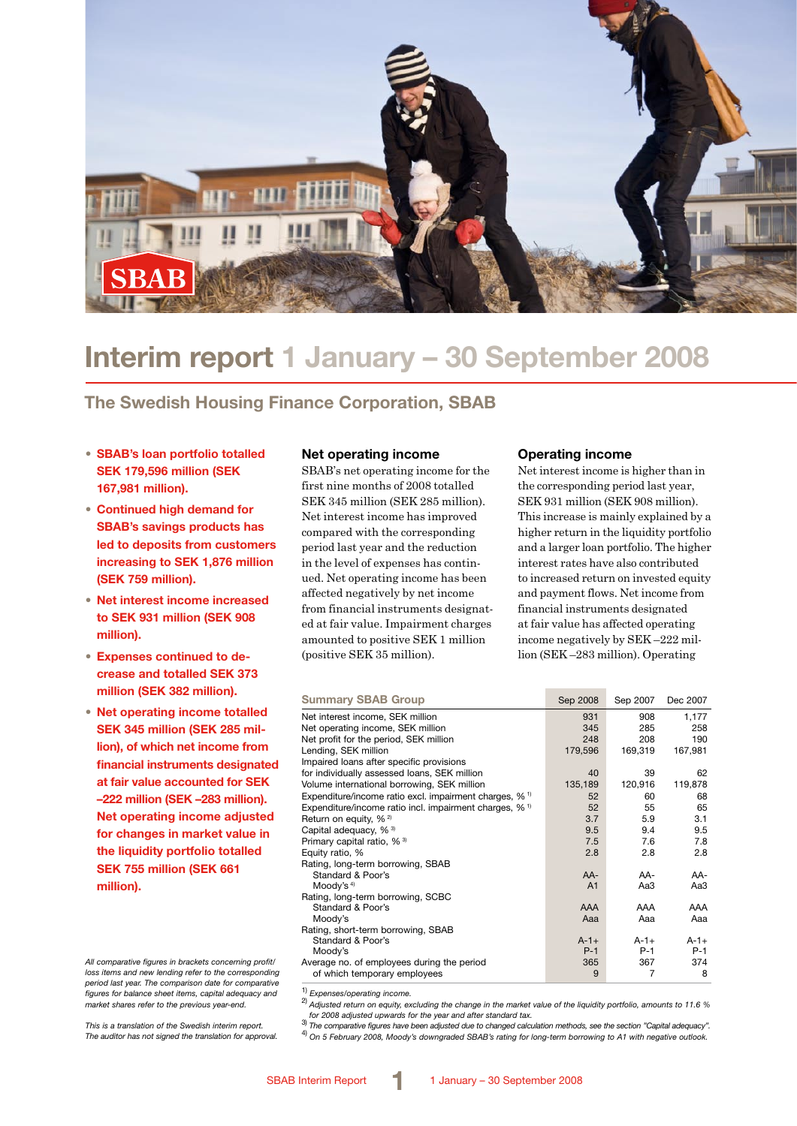

### **Interim report 1 January – 30 September 2008**

### **The Swedish Housing Finance Corporation, SBAB**

- **SBAB's loan portfolio totalled SEK 179,596 million (SEK 167,981 million).**
- **Continued high demand for SBAB's savings products has led to deposits from customers increasing to SEK 1,876 million (SEK 759 million).**
- **Net interest income increased to SEK 931 million (SEK 908 million).**
- **Expenses continued to decrease and totalled SEK 373 million (SEK 382 million).**
- **Net operating income totalled SEK 345 million (SEK 285 million), of which net income from financial instruments designated at fair value accounted for SEK –222 million (SEK –283 million). Net operating income adjusted for changes in market value in the liquidity portfolio totalled SEK 755 million (SEK 661 million).**

*All comparative figures in brackets concerning profit/ loss items and new lending refer to the corresponding period last year. The comparison date for comparative figures for balance sheet items, capital adequacy and market shares refer to the previous year-end.*

*This is a translation of the Swedish interim report. The auditor has not signed the translation for approval.*

### **Net operating income**

SBAB's net operating income for the first nine months of 2008 totalled SEK 345 million (SEK 285 million). Net interest income has improved compared with the corresponding period last year and the reduction in the level of expenses has continued. Net operating income has been affected negatively by net income from financial instruments designated at fair value. Impairment charges amounted to positive SEK 1 million (positive SEK 35 million).

### **Operating income**

Net interest income is higher than in the corresponding period last year, SEK 931 million (SEK 908 million). This increase is mainly explained by a higher return in the liquidity portfolio and a larger loan portfolio. The higher interest rates have also contributed to increased return on invested equity and payment flows. Net income from financial instruments designated at fair value has affected operating income negatively by SEK –222 million (SEK –283 million). Operating

| <b>Summary SBAB Group</b>                                          | Sep 2008       | Sep 2007  | Dec 2007  |
|--------------------------------------------------------------------|----------------|-----------|-----------|
| Net interest income, SEK million                                   | 931            | 908       | 1,177     |
| Net operating income, SEK million                                  | 345            | 285       | 258       |
| Net profit for the period, SEK million                             | 248            | 208       | 190       |
| Lending, SEK million                                               | 179,596        | 169,319   | 167,981   |
| Impaired loans after specific provisions                           |                |           |           |
| for individually assessed loans, SEK million                       | 40             | 39        | 62        |
| Volume international borrowing, SEK million                        | 135,189        | 120,916   | 119,878   |
| Expenditure/income ratio excl. impairment charges, % <sup>1)</sup> | 52             | 60        | 68        |
| Expenditure/income ratio incl. impairment charges, % <sup>1)</sup> | 52             | 55        | 65        |
| Return on equity, % <sup>2)</sup>                                  | 3.7            | 5.9       | 3.1       |
| Capital adequacy, % <sup>3)</sup>                                  | 9.5            | 9.4       | 9.5       |
| Primary capital ratio, % <sup>3)</sup>                             | 7.5            | 7.6       | 7.8       |
| Equity ratio, %                                                    | 2.8            | 2.8       | 2.8       |
| Rating, long-term borrowing, SBAB                                  |                |           |           |
| Standard & Poor's                                                  | AA-            | AA-       | AA-       |
| Moody's <sup>4)</sup>                                              | A <sub>1</sub> | АаЗ       | АаЗ       |
| Rating, long-term borrowing, SCBC                                  |                |           |           |
| Standard & Poor's                                                  | <b>AAA</b>     | AAA       | AAA       |
| Moody's                                                            | Aaa            | Ааа       | Ааа       |
| Rating, short-term borrowing, SBAB                                 |                |           |           |
| Standard & Poor's                                                  | $A-1+$         | $A - 1 +$ | $A - 1 +$ |
| Moody's                                                            | $P-1$          | $P-1$     | $P-1$     |
| Average no. of employees during the period                         | 365<br>9       | 367<br>7  | 374<br>8  |
| of which temporary employees                                       |                |           |           |

1) *Expenses/operating income.* 2) *Adjusted return on equity, excluding the change in the market value of the liquidity portfolio, amounts to 11.6 %* 

for 2008 adjusted upwards for the year and after standard tax.<br>
<sup>3)</sup> The comparative figures have been adjusted due to changed calculation methods, see the section "Capital adequacy".<br>
<sup>4)</sup> On 5 February 2008, Moody's dow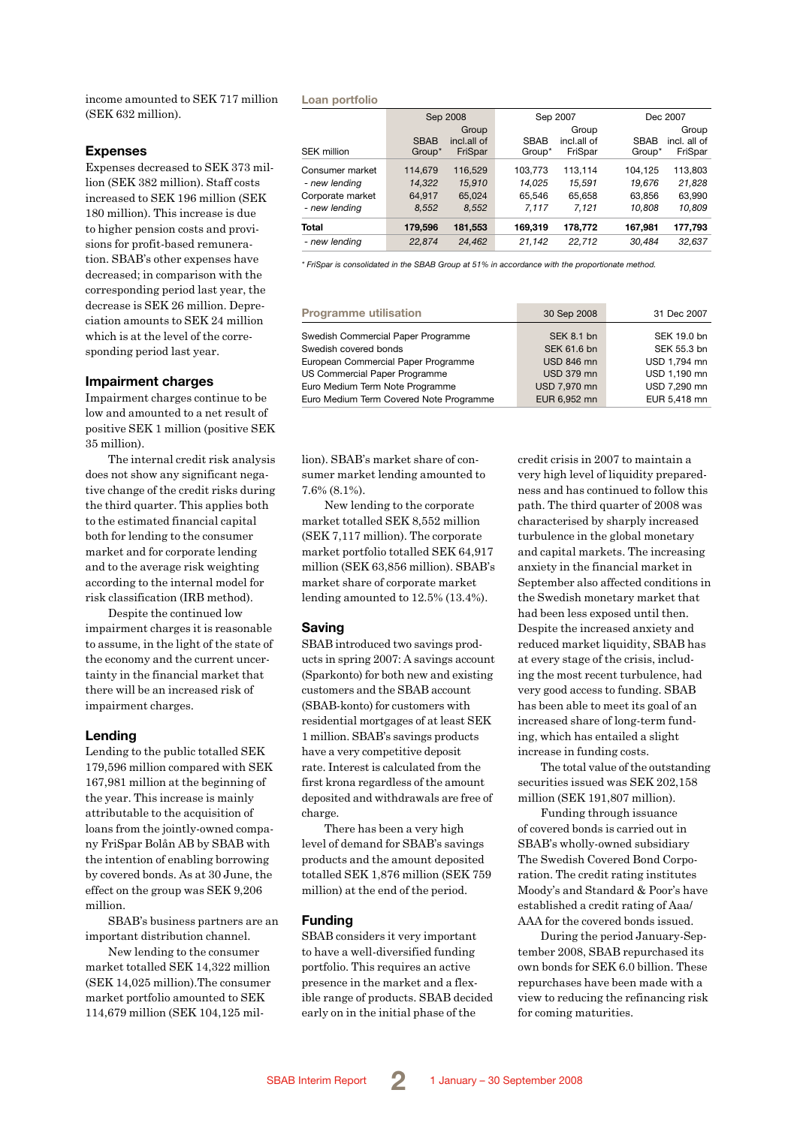income amounted to SEK 717 million (SEK 632 million).

### **Expenses**

Expenses decreased to SEK 373 million (SEK 382 million). Staff costs increased to SEK 196 million (SEK 180 million). This increase is due to higher pension costs and provisions for profit-based remuneration. SBAB's other expenses have decreased; in comparison with the corresponding period last year, the decrease is SEK 26 million. Depreciation amounts to SEK 24 million which is at the level of the corresponding period last year.

### **Impairment charges**

Impairment charges continue to be low and amounted to a net result of positive SEK 1 million (positive SEK 35 million).

The internal credit risk analysis does not show any significant negative change of the credit risks during the third quarter. This applies both to the estimated financial capital both for lending to the consumer market and for corporate lending and to the average risk weighting according to the internal model for risk classification (IRB method).

Despite the continued low impairment charges it is reasonable to assume, in the light of the state of the economy and the current uncertainty in the financial market that there will be an increased risk of impairment charges.

### **Lending**

Lending to the public totalled SEK 179,596 million compared with SEK 167,981 million at the beginning of the year. This increase is mainly attributable to the acquisition of loans from the jointly-owned company FriSpar Bolån AB by SBAB with the intention of enabling borrowing by covered bonds. As at 30 June, the effect on the group was SEK 9,206 million.

SBAB's business partners are an important distribution channel.

New lending to the consumer market totalled SEK 14,322 million (SEK 14,025 million).The consumer market portfolio amounted to SEK 114,679 million (SEK 104,125 mil-

#### **Loan portfolio**

|                    | Sep 2008              |                                 |                       | Sep 2007                        |                       | Dec 2007                         |  |  |
|--------------------|-----------------------|---------------------------------|-----------------------|---------------------------------|-----------------------|----------------------------------|--|--|
| <b>SEK million</b> | <b>SBAB</b><br>Group* | Group<br>incl.all of<br>FriSpar | <b>SBAB</b><br>Group* | Group<br>incl.all of<br>FriSpar | <b>SBAB</b><br>Group* | Group<br>incl. all of<br>FriSpar |  |  |
| Consumer market    | 114,679               | 116,529                         | 103,773               | 113,114                         | 104,125               | 113,803                          |  |  |
| - new lending      | 14,322                | 15,910                          | 14.025                | 15.591                          | 19.676                | 21,828                           |  |  |
| Corporate market   | 64,917                | 65.024                          | 65,546                | 65.658                          | 63,856                | 63,990                           |  |  |
| - new lending      | 8.552                 | 8,552                           | 7.117                 | 7.121                           | 10,808                | 10.809                           |  |  |
| <b>Total</b>       | 179,596               | 181,553                         | 169,319               | 178,772                         | 167,981               | 177,793                          |  |  |
| - new lending      | 22,874                | 24,462                          | 21.142                | 22,712                          | 30.484                | 32,637                           |  |  |

*\* FriSpar is consolidated in the SBAB Group at 51% in accordance with the proportionate method.*

| <b>Programme utilisation</b>            | 30 Sep 2008       | 31 Dec 2007  |
|-----------------------------------------|-------------------|--------------|
| Swedish Commercial Paper Programme      | <b>SEK 8.1 bn</b> | SEK 19.0 bn  |
| Swedish covered bonds                   | SEK 61.6 bn       | SEK 55.3 bn  |
| European Commercial Paper Programme     | <b>USD 846 mn</b> | USD 1,794 mn |
| US Commercial Paper Programme           | <b>USD 379 mn</b> | USD 1,190 mn |
| Euro Medium Term Note Programme         | USD 7,970 mn      | USD 7,290 mn |
| Euro Medium Term Covered Note Programme | EUR 6,952 mn      | EUR 5,418 mn |

lion). SBAB's market share of consumer market lending amounted to 7.6% (8.1%).

New lending to the corporate market totalled SEK 8,552 million (SEK 7,117 million). The corporate market portfolio totalled SEK 64,917 million (SEK 63,856 million). SBAB's market share of corporate market lending amounted to 12.5% (13.4%).

### **Saving**

SBAB introduced two savings products in spring 2007: A savings account (Sparkonto) for both new and existing customers and the SBAB account (SBAB-konto) for customers with residential mortgages of at least SEK 1 million. SBAB's savings products have a very competitive deposit rate. Interest is calculated from the first krona regardless of the amount deposited and withdrawals are free of charge.

There has been a very high level of demand for SBAB's savings products and the amount deposited totalled SEK 1,876 million (SEK 759 million) at the end of the period.

### **Funding**

SBAB considers it very important to have a well-diversified funding portfolio. This requires an active presence in the market and a flexible range of products. SBAB decided early on in the initial phase of the

credit crisis in 2007 to maintain a very high level of liquidity preparedness and has continued to follow this path. The third quarter of 2008 was characterised by sharply increased turbulence in the global monetary and capital markets. The increasing anxiety in the financial market in September also affected conditions in the Swedish monetary market that had been less exposed until then. Despite the increased anxiety and reduced market liquidity, SBAB has at every stage of the crisis, including the most recent turbulence, had very good access to funding. SBAB has been able to meet its goal of an increased share of long-term funding, which has entailed a slight increase in funding costs.

The total value of the outstanding securities issued was SEK 202,158 million (SEK 191,807 million).

Funding through issuance of covered bonds is carried out in SBAB's wholly-owned subsidiary The Swedish Covered Bond Corporation. The credit rating institutes Moody's and Standard & Poor's have established a credit rating of Aaa/ AAA for the covered bonds issued.

During the period January-September 2008, SBAB repurchased its own bonds for SEK 6.0 billion. These repurchases have been made with a view to reducing the refinancing risk for coming maturities.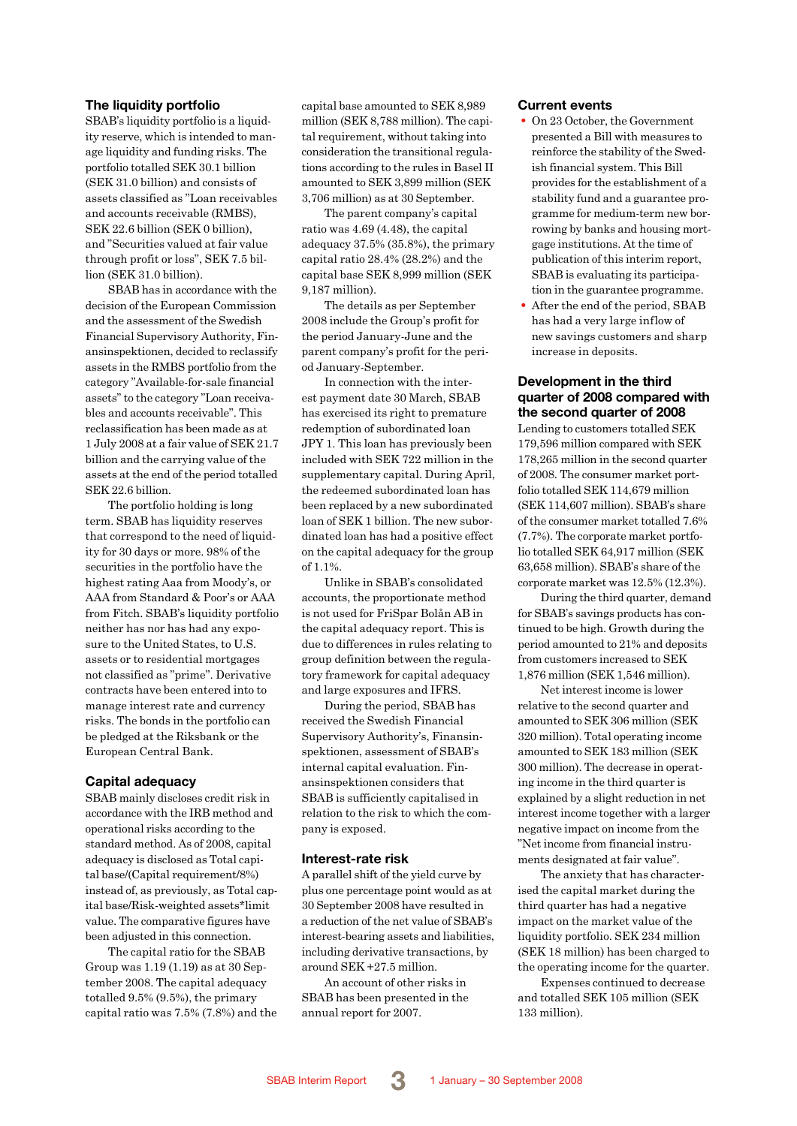### **The liquidity portfolio**

SBAB's liquidity portfolio is a liquidity reserve, which is intended to manage liquidity and funding risks. The portfolio totalled SEK 30.1 billion (SEK 31.0 billion) and consists of assets classified as "Loan receivables and accounts receivable (RMBS), SEK 22.6 billion (SEK 0 billion), and "Securities valued at fair value through profit or loss", SEK 7.5 billion (SEK 31.0 billion).

SBAB has in accordance with the decision of the European Commission and the assessment of the Swedish Financial Supervisory Authority, Finansinspektionen, decided to reclassify assets in the RMBS portfolio from the category "Available-for-sale financial assets" to the category "Loan receivables and accounts receivable". This reclassification has been made as at 1 July 2008 at a fair value of SEK 21.7 billion and the carrying value of the assets at the end of the period totalled SEK 22.6 billion.

The portfolio holding is long term. SBAB has liquidity reserves that correspond to the need of liquidity for 30 days or more. 98% of the securities in the portfolio have the highest rating Aaa from Moody's, or AAA from Standard & Poor's or AAA from Fitch. SBAB's liquidity portfolio neither has nor has had any exposure to the United States, to U.S. assets or to residential mortgages not classified as "prime". Derivative contracts have been entered into to manage interest rate and currency risks. The bonds in the portfolio can be pledged at the Riksbank or the European Central Bank.

### **Capital adequacy**

SBAB mainly discloses credit risk in accordance with the IRB method and operational risks according to the standard method. As of 2008, capital adequacy is disclosed as Total capital base/(Capital requirement/8%) instead of, as previously, as Total capital base/Risk-weighted assets\*limit value. The comparative figures have been adjusted in this connection.

The capital ratio for the SBAB Group was 1.19 (1.19) as at 30 September 2008. The capital adequacy totalled 9.5% (9.5%), the primary capital ratio was 7.5% (7.8%) and the

capital base amounted to SEK 8,989 million (SEK 8,788 million). The capital requirement, without taking into consideration the transitional regulations according to the rules in Basel II amounted to SEK 3,899 million (SEK 3,706 million) as at 30 September.

The parent company's capital ratio was 4.69 (4.48), the capital adequacy 37.5% (35.8%), the primary capital ratio 28.4% (28.2%) and the capital base SEK 8,999 million (SEK 9,187 million).

The details as per September 2008 include the Group's profit for the period January-June and the parent company's profit for the period January-September.

In connection with the interest payment date 30 March, SBAB has exercised its right to premature redemption of subordinated loan JPY 1. This loan has previously been included with SEK 722 million in the supplementary capital. During April, the redeemed subordinated loan has been replaced by a new subordinated loan of SEK 1 billion. The new subordinated loan has had a positive effect on the capital adequacy for the group of 1.1%.

Unlike in SBAB's consolidated accounts, the proportionate method is not used for FriSpar Bolån AB in the capital adequacy report. This is due to differences in rules relating to group definition between the regulatory framework for capital adequacy and large exposures and IFRS.

During the period, SBAB has received the Swedish Financial Supervisory Authority's, Finansinspektionen, assessment of SBAB's internal capital evaluation. Finansinspektionen considers that SBAB is sufficiently capitalised in relation to the risk to which the company is exposed.

#### **Interest-rate risk**

A parallel shift of the yield curve by plus one percentage point would as at 30 September 2008 have resulted in a reduction of the net value of SBAB's interest-bearing assets and liabilities, including derivative transactions, by around SEK +27.5 million.

An account of other risks in SBAB has been presented in the annual report for 2007.

### **Current events**

- On 23 October, the Government presented a Bill with measures to reinforce the stability of the Swedish financial system. This Bill provides for the establishment of a stability fund and a guarantee programme for medium-term new borrowing by banks and housing mortgage institutions. At the time of publication of this interim report, SBAB is evaluating its participation in the guarantee programme.
- After the end of the period, SBAB has had a very large inflow of new savings customers and sharp increase in deposits.

### **Development in the third quarter of 2008 compared with the second quarter of 2008**

Lending to customers totalled SEK 179,596 million compared with SEK 178,265 million in the second quarter of 2008. The consumer market portfolio totalled SEK 114,679 million (SEK 114,607 million). SBAB's share of the consumer market totalled 7.6% (7.7%). The corporate market portfolio totalled SEK 64,917 million (SEK 63,658 million). SBAB's share of the corporate market was 12.5% (12.3%).

During the third quarter, demand for SBAB's savings products has continued to be high. Growth during the period amounted to 21% and deposits from customers increased to SEK 1,876 million (SEK 1,546 million).

Net interest income is lower relative to the second quarter and amounted to SEK 306 million (SEK 320 million). Total operating income amounted to SEK 183 million (SEK 300 million). The decrease in operating income in the third quarter is explained by a slight reduction in net interest income together with a larger negative impact on income from the "Net income from financial instruments designated at fair value".

The anxiety that has characterised the capital market during the third quarter has had a negative impact on the market value of the liquidity portfolio. SEK 234 million (SEK 18 million) has been charged to the operating income for the quarter.

Expenses continued to decrease and totalled SEK 105 million (SEK 133 million).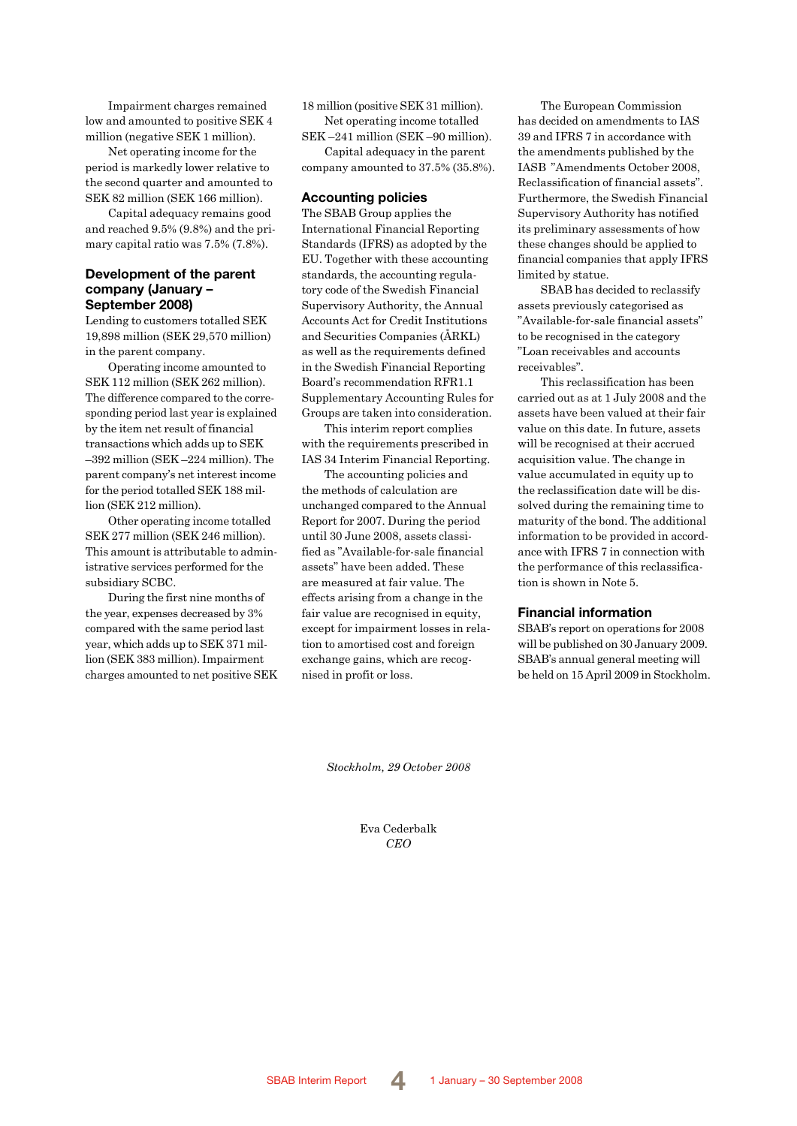Impairment charges remained low and amounted to positive SEK 4 million (negative SEK 1 million).

Net operating income for the period is markedly lower relative to the second quarter and amounted to SEK 82 million (SEK 166 million).

Capital adequacy remains good and reached 9.5% (9.8%) and the primary capital ratio was 7.5% (7.8%).

### **Development of the parent company (January – September 2008)**

Lending to customers totalled SEK 19,898 million (SEK 29,570 million) in the parent company.

Operating income amounted to SEK 112 million (SEK 262 million). The difference compared to the corresponding period last year is explained by the item net result of financial transactions which adds up to SEK –392 million (SEK –224 million). The parent company's net interest income for the period totalled SEK 188 million (SEK 212 million).

Other operating income totalled SEK 277 million (SEK 246 million). This amount is attributable to administrative services performed for the subsidiary SCBC.

During the first nine months of the year, expenses decreased by 3% compared with the same period last year, which adds up to SEK 371 million (SEK 383 million). Impairment charges amounted to net positive SEK 18 million (positive SEK 31 million).

Net operating income totalled SEK –241 million (SEK –90 million).

Capital adequacy in the parent company amounted to 37.5% (35.8%).

### **Accounting policies**

The SBAB Group applies the International Financial Reporting Standards (IFRS) as adopted by the EU. Together with these accounting standards, the accounting regulatory code of the Swedish Financial Supervisory Authority, the Annual Accounts Act for Credit Institutions and Securities Companies (ÅRKL) as well as the requirements defined in the Swedish Financial Reporting Board's recommendation RFR1.1 Supplementary Accounting Rules for Groups are taken into consideration.

This interim report complies with the requirements prescribed in IAS 34 Interim Financial Reporting.

The accounting policies and the methods of calculation are unchanged compared to the Annual Report for 2007. During the period until 30 June 2008, assets classified as "Available-for-sale financial assets" have been added. These are measured at fair value. The effects arising from a change in the fair value are recognised in equity, except for impairment losses in relation to amortised cost and foreign exchange gains, which are recognised in profit or loss.

The European Commission has decided on amendments to IAS 39 and IFRS 7 in accordance with the amendments published by the IASB "Amendments October 2008, Reclassification of financial assets". Furthermore, the Swedish Financial Supervisory Authority has notified its preliminary assessments of how these changes should be applied to financial companies that apply IFRS limited by statue.

SBAB has decided to reclassify assets previously categorised as "Available-for-sale financial assets" to be recognised in the category "Loan receivables and accounts receivables".

This reclassification has been carried out as at 1 July 2008 and the assets have been valued at their fair value on this date. In future, assets will be recognised at their accrued acquisition value. The change in value accumulated in equity up to the reclassification date will be dissolved during the remaining time to maturity of the bond. The additional information to be provided in accordance with IFRS 7 in connection with the performance of this reclassification is shown in Note 5.

### **Financial information**

SBAB's report on operations for 2008 will be published on 30 January 2009. SBAB's annual general meeting will be held on 15 April 2009 in Stockholm.

*Stockholm, 29 October 2008*

Eva Cederbalk *CEO*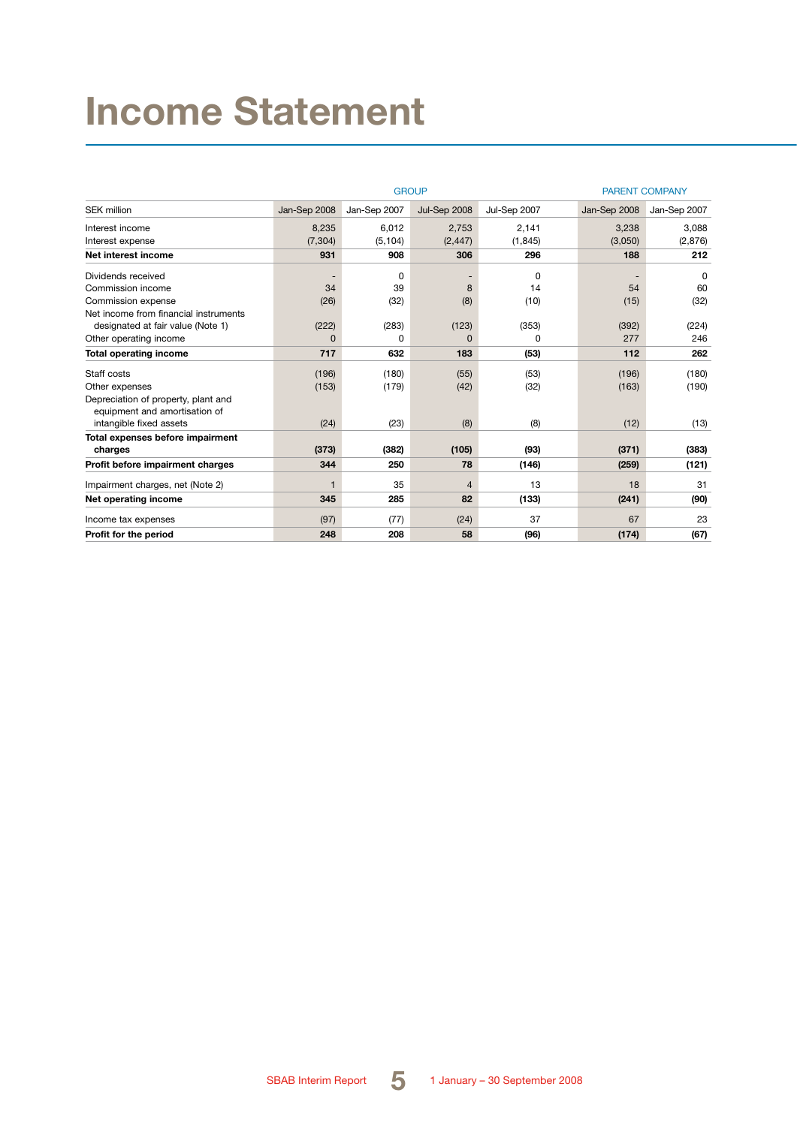### **Income Statement**

|                                                                      | <b>GROUP</b> |              |              |              | <b>PARENT COMPANY</b> |              |
|----------------------------------------------------------------------|--------------|--------------|--------------|--------------|-----------------------|--------------|
| <b>SEK million</b>                                                   | Jan-Sep 2008 | Jan-Sep 2007 | Jul-Sep 2008 | Jul-Sep 2007 | Jan-Sep 2008          | Jan-Sep 2007 |
| Interest income                                                      | 8,235        | 6,012        | 2,753        | 2,141        | 3,238                 | 3,088        |
| Interest expense                                                     | (7, 304)     | (5, 104)     | (2, 447)     | (1, 845)     | (3,050)               | (2,876)      |
| Net interest income                                                  | 931          | 908          | 306          | 296          | 188                   | 212          |
| Dividends received                                                   |              | $\Omega$     |              | 0            |                       | $\Omega$     |
| Commission income                                                    | 34           | 39           | 8            | 14           | 54                    | 60           |
| Commission expense                                                   | (26)         | (32)         | (8)          | (10)         | (15)                  | (32)         |
| Net income from financial instruments                                |              |              |              |              |                       |              |
| designated at fair value (Note 1)                                    | (222)        | (283)        | (123)        | (353)        | (392)                 | (224)        |
| Other operating income                                               | $\Omega$     | O            | $\Omega$     | 0            | 277                   | 246          |
| <b>Total operating income</b>                                        | 717          | 632          | 183          | (53)         | 112                   | 262          |
| Staff costs                                                          | (196)        | (180)        | (55)         | (53)         | (196)                 | (180)        |
| Other expenses                                                       | (153)        | (179)        | (42)         | (32)         | (163)                 | (190)        |
| Depreciation of property, plant and<br>equipment and amortisation of |              |              |              |              |                       |              |
| intangible fixed assets                                              | (24)         | (23)         | (8)          | (8)          | (12)                  | (13)         |
| Total expenses before impairment                                     |              |              |              |              |                       |              |
| charges                                                              | (373)        | (382)        | (105)        | (93)         | (371)                 | (383)        |
| Profit before impairment charges                                     | 344          | 250          | 78           | (146)        | (259)                 | (121)        |
| Impairment charges, net (Note 2)                                     |              | 35           | 4            | 13           | 18                    | 31           |
| Net operating income                                                 | 345          | 285          | 82           | (133)        | (241)                 | (90)         |
| Income tax expenses                                                  | (97)         | (77)         | (24)         | 37           | 67                    | 23           |
| Profit for the period                                                | 248          | 208          | 58           | (96)         | (174)                 | (67)         |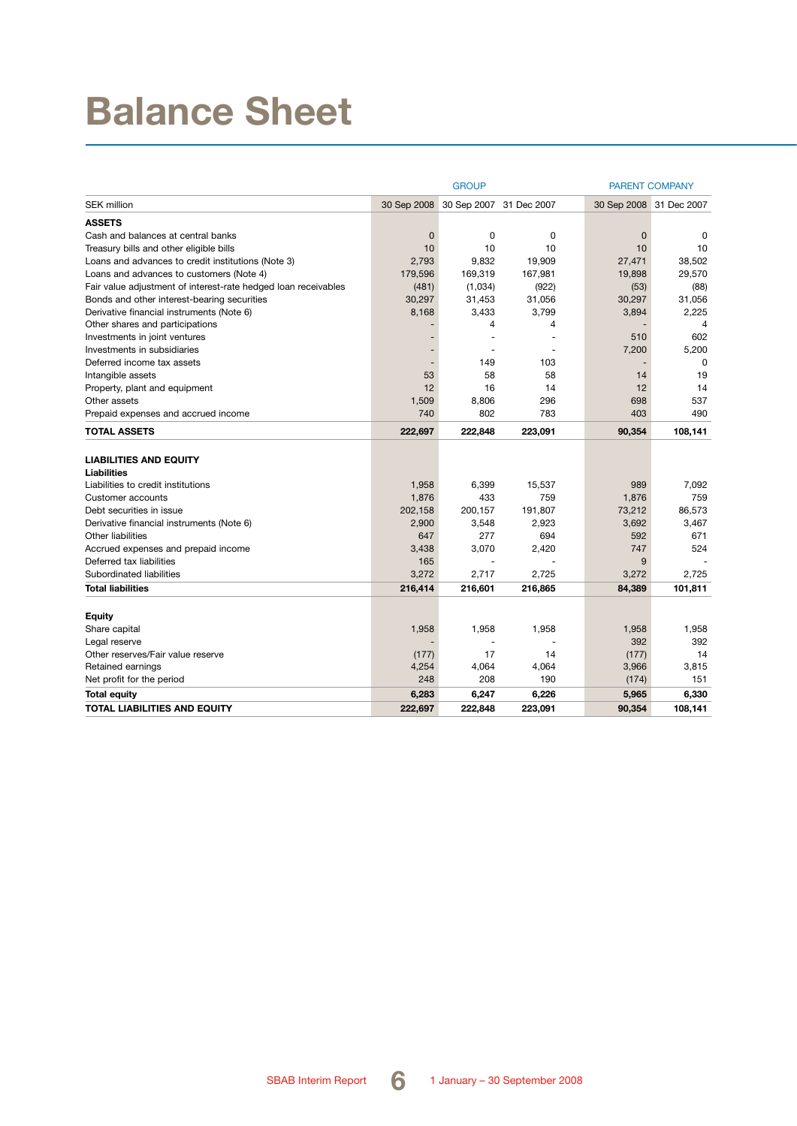### **Balance Sheet**

|                                                                |              | <b>GROUP</b>   |                         |              | <b>PARENT COMPANY</b>   |
|----------------------------------------------------------------|--------------|----------------|-------------------------|--------------|-------------------------|
| <b>SEK million</b>                                             | 30 Sep 2008  |                | 30 Sep 2007 31 Dec 2007 |              | 30 Sep 2008 31 Dec 2007 |
| <b>ASSETS</b>                                                  |              |                |                         |              |                         |
| Cash and balances at central banks                             | $\mathbf{0}$ | $\mathbf 0$    | 0                       | $\mathbf{0}$ | $\Omega$                |
| Treasury bills and other eligible bills                        | 10           | 10             | 10                      | 10           | 10                      |
| Loans and advances to credit institutions (Note 3)             | 2,793        | 9,832          | 19,909                  | 27,471       | 38,502                  |
| Loans and advances to customers (Note 4)                       | 179,596      | 169,319        | 167,981                 | 19,898       | 29,570                  |
| Fair value adjustment of interest-rate hedged loan receivables | (481)        | (1,034)        | (922)                   | (53)         | (88)                    |
| Bonds and other interest-bearing securities                    | 30,297       | 31,453         | 31,056                  | 30,297       | 31,056                  |
| Derivative financial instruments (Note 6)                      | 8,168        | 3,433          | 3,799                   | 3,894        | 2,225                   |
| Other shares and participations                                |              | $\overline{4}$ | 4                       |              | $\overline{4}$          |
| Investments in joint ventures                                  |              |                |                         | 510          | 602                     |
| Investments in subsidiaries                                    |              |                |                         | 7,200        | 5,200                   |
| Deferred income tax assets                                     |              | 149            | 103                     | ÷            | $\Omega$                |
| Intangible assets                                              | 53           | 58             | 58                      | 14           | 19                      |
| Property, plant and equipment                                  | 12           | 16             | 14                      | 12           | 14                      |
| Other assets                                                   | 1,509        | 8,806          | 296                     | 698          | 537                     |
| Prepaid expenses and accrued income                            | 740          | 802            | 783                     | 403          | 490                     |
| <b>TOTAL ASSETS</b>                                            | 222,697      | 222,848        | 223,091                 | 90,354       | 108,141                 |
|                                                                |              |                |                         |              |                         |
| <b>LIABILITIES AND EQUITY</b>                                  |              |                |                         |              |                         |
| <b>Liabilities</b>                                             |              |                |                         |              |                         |
| Liabilities to credit institutions                             | 1,958        | 6,399          | 15,537                  | 989          | 7,092                   |
| Customer accounts                                              | 1,876        | 433            | 759                     | 1,876        | 759                     |
| Debt securities in issue                                       | 202,158      | 200,157        | 191,807                 | 73,212       | 86,573                  |
| Derivative financial instruments (Note 6)                      | 2,900        | 3,548          | 2,923                   | 3,692        | 3,467                   |
| Other liabilities                                              | 647          | 277            | 694                     | 592          | 671                     |
| Accrued expenses and prepaid income                            | 3,438        | 3,070          | 2,420                   | 747          | 524                     |
| Deferred tax liabilities                                       | 165          |                |                         | 9            |                         |
| Subordinated liabilities                                       | 3,272        | 2,717          | 2,725                   | 3,272        | 2,725                   |
| <b>Total liabilities</b>                                       | 216,414      | 216,601        | 216,865                 | 84,389       | 101,811                 |
|                                                                |              |                |                         |              |                         |
| Equity                                                         |              |                |                         |              |                         |
| Share capital                                                  | 1,958        | 1,958          | 1,958                   | 1,958        | 1.958                   |
| Legal reserve                                                  |              |                |                         | 392          | 392                     |
| Other reserves/Fair value reserve                              | (177)        | 17             | 14                      | (177)        | 14                      |
| Retained earnings                                              | 4,254        | 4,064          | 4.064                   | 3,966        | 3,815                   |
| Net profit for the period                                      | 248          | 208            | 190                     | (174)        | 151                     |
| <b>Total equity</b>                                            | 6,283        | 6,247          | 6,226                   | 5,965        | 6,330                   |
| <b>TOTAL LIABILITIES AND EQUITY</b>                            | 222,697      | 222.848        | 223,091                 | 90,354       | 108,141                 |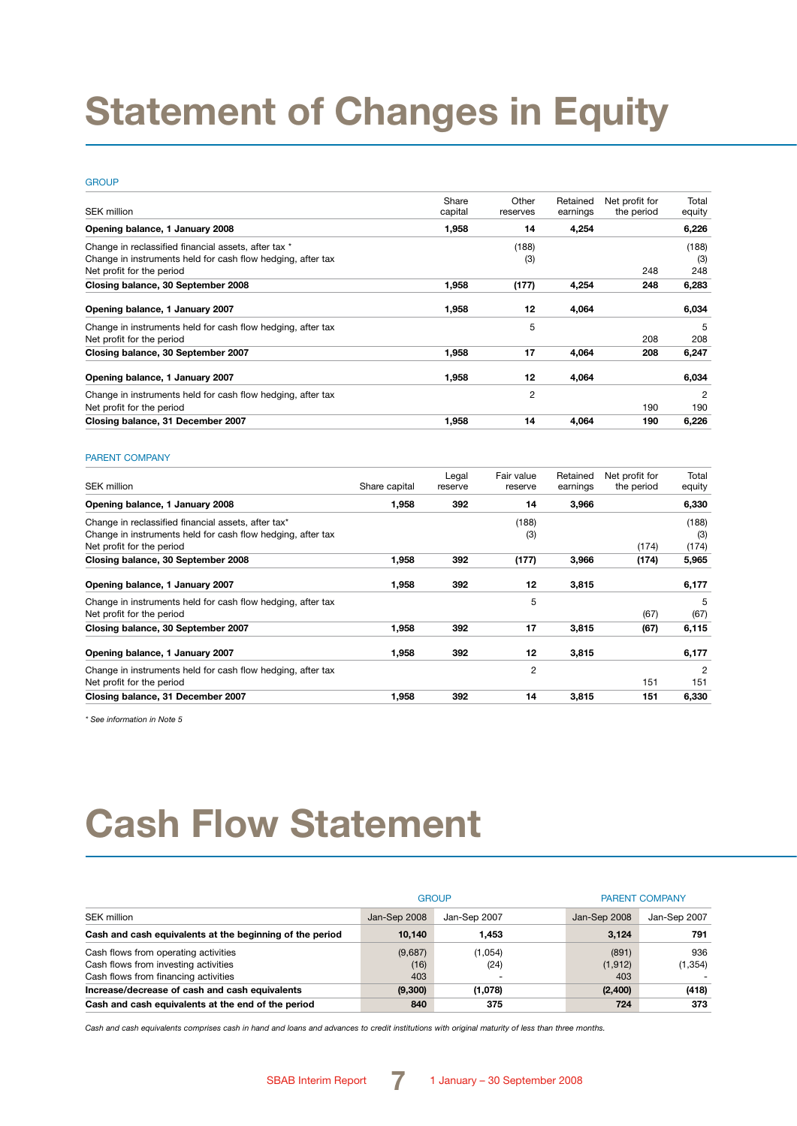# **Statement of Changes in Equity**

#### **GROUP**

| <b>SEK million</b>                                          | Share<br>capital | Other<br>reserves | Retained<br>earnings | Net profit for<br>the period | Total<br>equity |
|-------------------------------------------------------------|------------------|-------------------|----------------------|------------------------------|-----------------|
| Opening balance, 1 January 2008                             | 1,958            | 14                | 4,254                |                              | 6,226           |
| Change in reclassified financial assets, after tax *        |                  | (188)             |                      |                              | (188)           |
| Change in instruments held for cash flow hedging, after tax |                  | (3)               |                      |                              | (3)             |
| Net profit for the period                                   |                  |                   |                      | 248                          | 248             |
| Closing balance, 30 September 2008                          | 1,958            | (177)             | 4,254                | 248                          | 6,283           |
| Opening balance, 1 January 2007                             | 1,958            | 12                | 4,064                |                              | 6,034           |
| Change in instruments held for cash flow hedging, after tax |                  | 5                 |                      |                              | 5               |
| Net profit for the period                                   |                  |                   |                      | 208                          | 208             |
| Closing balance, 30 September 2007                          | 1,958            | 17                | 4.064                | 208                          | 6,247           |
| Opening balance, 1 January 2007                             | 1,958            | 12                | 4,064                |                              | 6,034           |
| Change in instruments held for cash flow hedging, after tax |                  | 2                 |                      |                              | $\overline{2}$  |
| Net profit for the period                                   |                  |                   |                      | 190                          | 190             |
| Closing balance, 31 December 2007                           | 1,958            | 14                | 4,064                | 190                          | 6,226           |

#### PARENT COMPANY

| SEK million                                                 | Share capital | Legal<br>reserve | Fair value<br>reserve | Retained<br>earnings | Net profit for<br>the period | Total<br>equity |
|-------------------------------------------------------------|---------------|------------------|-----------------------|----------------------|------------------------------|-----------------|
| Opening balance, 1 January 2008                             | 1,958         | 392              | 14                    | 3,966                |                              | 6,330           |
| Change in reclassified financial assets, after tax*         |               |                  | (188)                 |                      |                              | (188)           |
| Change in instruments held for cash flow hedging, after tax |               |                  | (3)                   |                      |                              | (3)             |
| Net profit for the period                                   |               |                  |                       |                      | (174)                        | (174)           |
| Closing balance, 30 September 2008                          | 1,958         | 392              | (177)                 | 3,966                | (174)                        | 5,965           |
| Opening balance, 1 January 2007                             | 1,958         | 392              | 12                    | 3,815                |                              | 6,177           |
| Change in instruments held for cash flow hedging, after tax |               |                  | 5                     |                      |                              | 5               |
| Net profit for the period                                   |               |                  |                       |                      | (67)                         | (67)            |
| Closing balance, 30 September 2007                          | 1,958         | 392              | 17                    | 3,815                | (67)                         | 6,115           |
| Opening balance, 1 January 2007                             | 1,958         | 392              | 12                    | 3,815                |                              | 6,177           |
| Change in instruments held for cash flow hedging, after tax |               |                  | 2                     |                      |                              | $\overline{2}$  |
| Net profit for the period                                   |               |                  |                       |                      | 151                          | 151             |
| Closing balance, 31 December 2007                           | 1.958         | 392              | 14                    | 3,815                | 151                          | 6,330           |

*\* See information in Note 5*

### **Cash Flow Statement**

|                                                          |              | <b>GROUP</b> | <b>PARENT COMPANY</b> |              |  |
|----------------------------------------------------------|--------------|--------------|-----------------------|--------------|--|
| SEK million                                              | Jan-Sep 2008 | Jan-Sep 2007 | Jan-Sep 2008          | Jan-Sep 2007 |  |
| Cash and cash equivalents at the beginning of the period | 10,140       | 1,453        | 3,124                 | 791          |  |
| Cash flows from operating activities                     | (9,687)      | (1,054)      | (891)                 | 936          |  |
| Cash flows from investing activities                     | (16)         | (24)         | (1,912)               | (1, 354)     |  |
| Cash flows from financing activities                     | 403          |              | 403                   |              |  |
| Increase/decrease of cash and cash equivalents           | (9,300)      | (1,078)      | (2,400)               | (418)        |  |
| Cash and cash equivalents at the end of the period       | 840          | 375          | 724                   | 373          |  |

*Cash and cash equivalents comprises cash in hand and loans and advances to credit institutions with original maturity of less than three months.*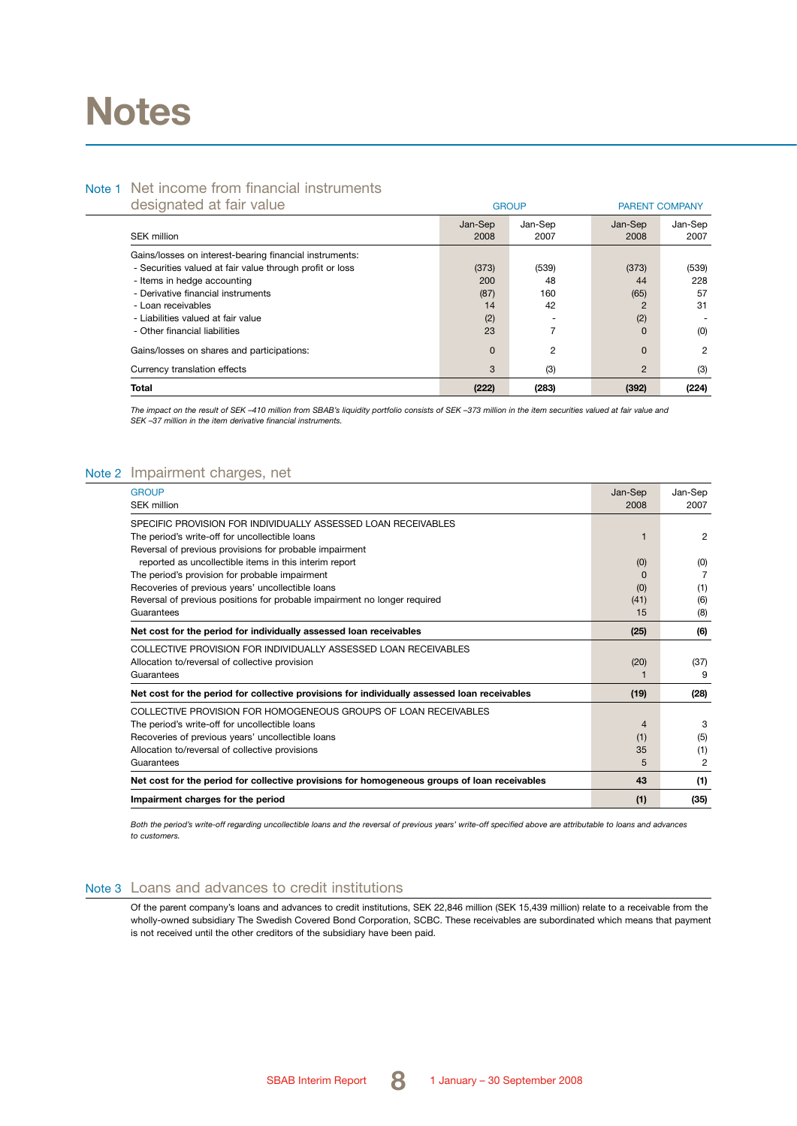### **Notes**

### Note 1 Net income from financial instruments

| designated at fair value                                 |          | <b>GROUP</b>   | <b>PARENT COMPANY</b> |         |  |
|----------------------------------------------------------|----------|----------------|-----------------------|---------|--|
|                                                          | Jan-Sep  | Jan-Sep        | Jan-Sep               | Jan-Sep |  |
| <b>SEK million</b>                                       | 2008     | 2007           | 2008                  | 2007    |  |
| Gains/losses on interest-bearing financial instruments:  |          |                |                       |         |  |
| - Securities valued at fair value through profit or loss | (373)    | (539)          | (373)                 | (539)   |  |
| - Items in hedge accounting                              | 200      | 48             | 44                    | 228     |  |
| - Derivative financial instruments                       | (87)     | 160            | (65)                  | 57      |  |
| - Loan receivables                                       | 14       | 42             | $\overline{2}$        | 31      |  |
| - Liabilities valued at fair value                       | (2)      |                | (2)                   |         |  |
| - Other financial liabilities                            | 23       |                | $\Omega$              | (0)     |  |
| Gains/losses on shares and participations:               | $\Omega$ | $\overline{2}$ | $\Omega$              | 2       |  |
| Currency translation effects                             | 3        | (3)            | $\overline{2}$        | (3)     |  |
| Total                                                    | (222)    | (283)          | (392)                 | (224)   |  |

*The impact on the result of SEK –410 million from SBAB's liquidity portfolio consists of SEK –373 million in the item securities valued at fair value and SEK –37 million in the item derivative financial instruments.*

### Note 2 Impairment charges, net

| <b>GROUP</b><br><b>SEK million</b>                                                                                                                                         | Jan-Sep<br>2008 | Jan-Sep<br>2007 |
|----------------------------------------------------------------------------------------------------------------------------------------------------------------------------|-----------------|-----------------|
| SPECIFIC PROVISION FOR INDIVIDUALLY ASSESSED LOAN RECEIVABLES<br>The period's write-off for uncollectible loans<br>Reversal of previous provisions for probable impairment |                 | 2               |
| reported as uncollectible items in this interim report                                                                                                                     | (0)             | (0)             |
| The period's provision for probable impairment                                                                                                                             | <sup>0</sup>    | 7               |
| Recoveries of previous years' uncollectible loans                                                                                                                          | (0)             | (1)             |
| Reversal of previous positions for probable impairment no longer required                                                                                                  | (41)            | (6)             |
| Guarantees                                                                                                                                                                 | 15              | (8)             |
| Net cost for the period for individually assessed loan receivables                                                                                                         | (25)            | (6)             |
| COLLECTIVE PROVISION FOR INDIVIDUALLY ASSESSED LOAN RECEIVABLES                                                                                                            |                 |                 |
| Allocation to/reversal of collective provision                                                                                                                             | (20)            | (37)            |
| Guarantees                                                                                                                                                                 |                 | 9               |
| Net cost for the period for collective provisions for individually assessed loan receivables                                                                               | (19)            | (28)            |
| COLLECTIVE PROVISION FOR HOMOGENEOUS GROUPS OF LOAN RECEIVABLES                                                                                                            |                 |                 |
| The period's write-off for uncollectible loans                                                                                                                             | $\overline{4}$  | 3               |
| Recoveries of previous years' uncollectible loans                                                                                                                          | (1)             | (5)             |
| Allocation to/reversal of collective provisions                                                                                                                            | 35              | (1)             |
| Guarantees                                                                                                                                                                 | 5               | $\overline{2}$  |
| Net cost for the period for collective provisions for homogeneous groups of loan receivables                                                                               | 43              | (1)             |
| Impairment charges for the period                                                                                                                                          | (1)             | (35)            |

*Both the period's write-off regarding uncollectible loans and the reversal of previous years' write-off specified above are attributable to loans and advances to customers.*

### Note 3 Loans and advances to credit institutions

Of the parent company's loans and advances to credit institutions, SEK 22,846 million (SEK 15,439 million) relate to a receivable from the wholly-owned subsidiary The Swedish Covered Bond Corporation, SCBC. These receivables are subordinated which means that payment is not received until the other creditors of the subsidiary have been paid.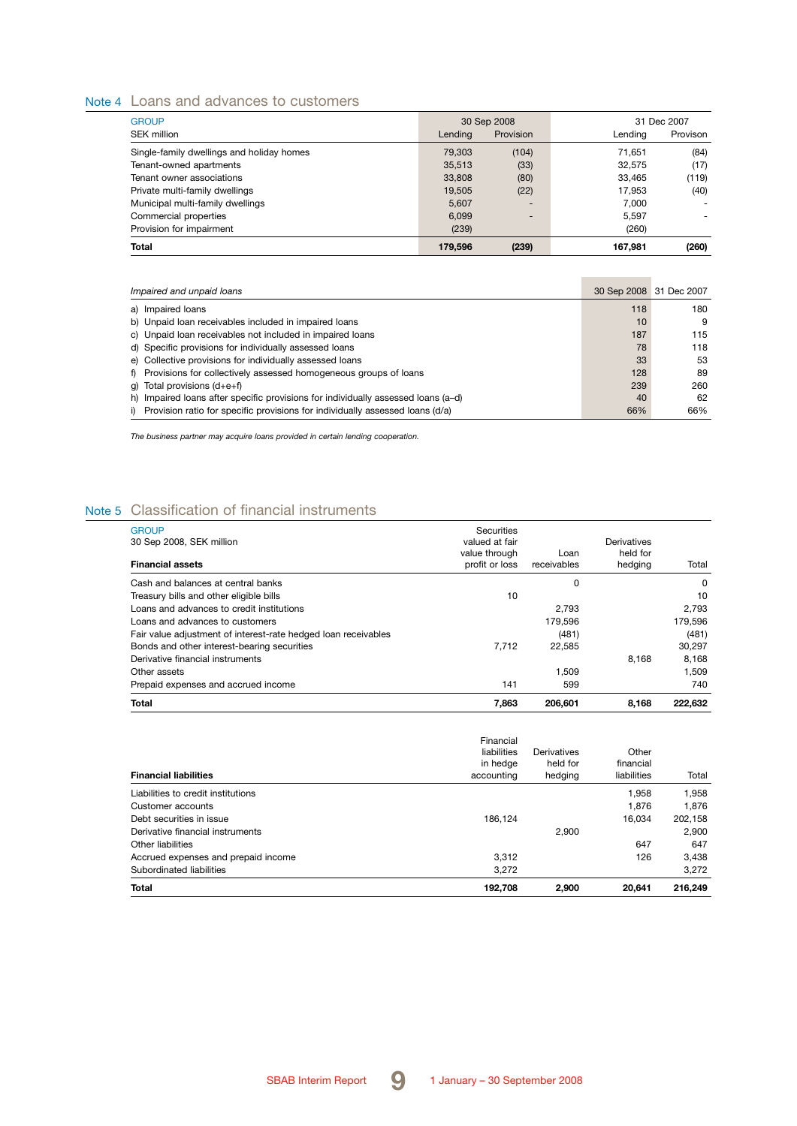### Note 4 Loans and advances to customers

| <b>GROUP</b>                              |         | 30 Sep 2008              | 31 Dec 2007 |          |
|-------------------------------------------|---------|--------------------------|-------------|----------|
| SEK million                               | Lending | Provision                | Lending     | Provison |
| Single-family dwellings and holiday homes | 79,303  | (104)                    | 71.651      | (84)     |
| Tenant-owned apartments                   | 35.513  | (33)                     | 32.575      | (17)     |
| Tenant owner associations                 | 33,808  | (80)                     | 33.465      | (119)    |
| Private multi-family dwellings            | 19,505  | (22)                     | 17.953      | (40)     |
| Municipal multi-family dwellings          | 5.607   | -                        | 7.000       | $\sim$   |
| Commercial properties                     | 6.099   | $\overline{\phantom{0}}$ | 5.597       |          |
| Provision for impairment                  | (239)   |                          | (260)       |          |
| Total                                     | 179.596 | (239)                    | 167.981     | (260)    |

| Impaired and unpaid loans                                                           |     | 30 Sep 2008 31 Dec 2007 |
|-------------------------------------------------------------------------------------|-----|-------------------------|
| a) Impaired loans                                                                   | 118 | 180                     |
| b) Unpaid loan receivables included in impaired loans                               | 10  | 9                       |
| c) Unpaid loan receivables not included in impaired loans                           | 187 | 115                     |
| d) Specific provisions for individually assessed loans                              | 78  | 118                     |
| e) Collective provisions for individually assessed loans                            | 33  | 53                      |
| f) Provisions for collectively assessed homogeneous groups of loans                 | 128 | 89                      |
| q) Total provisions $(d+e+f)$                                                       | 239 | 260                     |
| h) Impaired loans after specific provisions for individually assessed loans (a-d)   | 40  | 62                      |
| Provision ratio for specific provisions for individually assessed loans (d/a)<br>i) | 66% | 66%                     |

**Contract Contract** 

*The business partner may acquire loans provided in certain lending cooperation.*

### Note 5 Classification of financial instruments

| <b>GROUP</b><br>30 Sep 2008, SEK million                       | Securities<br>valued at fair<br>value through | Loan        | Derivatives<br>held for |         |
|----------------------------------------------------------------|-----------------------------------------------|-------------|-------------------------|---------|
| <b>Financial assets</b>                                        | profit or loss                                | receivables | hedging                 | Total   |
| Cash and balances at central banks                             |                                               | 0           |                         | 0       |
| Treasury bills and other eligible bills                        | 10                                            |             |                         | 10      |
| Loans and advances to credit institutions                      |                                               | 2.793       |                         | 2.793   |
| Loans and advances to customers                                |                                               | 179.596     |                         | 179,596 |
| Fair value adjustment of interest-rate hedged loan receivables |                                               | (481)       |                         | (481)   |
| Bonds and other interest-bearing securities                    | 7.712                                         | 22,585      |                         | 30.297  |
| Derivative financial instruments                               |                                               |             | 8.168                   | 8.168   |
| Other assets                                                   |                                               | 1,509       |                         | 1.509   |
| Prepaid expenses and accrued income                            | 141                                           | 599         |                         | 740     |
| Total                                                          | 7.863                                         | 206.601     | 8.168                   | 222.632 |

| <b>Financial liabilities</b>        | Financial<br>liabilities<br>in hedge<br>accounting | Derivatives<br>held for<br>hedging | Other<br>financial<br>liabilities | Total   |
|-------------------------------------|----------------------------------------------------|------------------------------------|-----------------------------------|---------|
| Liabilities to credit institutions  |                                                    |                                    | 1.958                             | 1,958   |
| Customer accounts                   |                                                    |                                    | 1.876                             | 1.876   |
| Debt securities in issue            | 186.124                                            |                                    | 16.034                            | 202,158 |
| Derivative financial instruments    |                                                    | 2.900                              |                                   | 2.900   |
| Other liabilities                   |                                                    |                                    | 647                               | 647     |
| Accrued expenses and prepaid income | 3.312                                              |                                    | 126                               | 3.438   |
| Subordinated liabilities            | 3.272                                              |                                    |                                   | 3.272   |
| <b>Total</b>                        | 192.708                                            | 2.900                              | 20.641                            | 216.249 |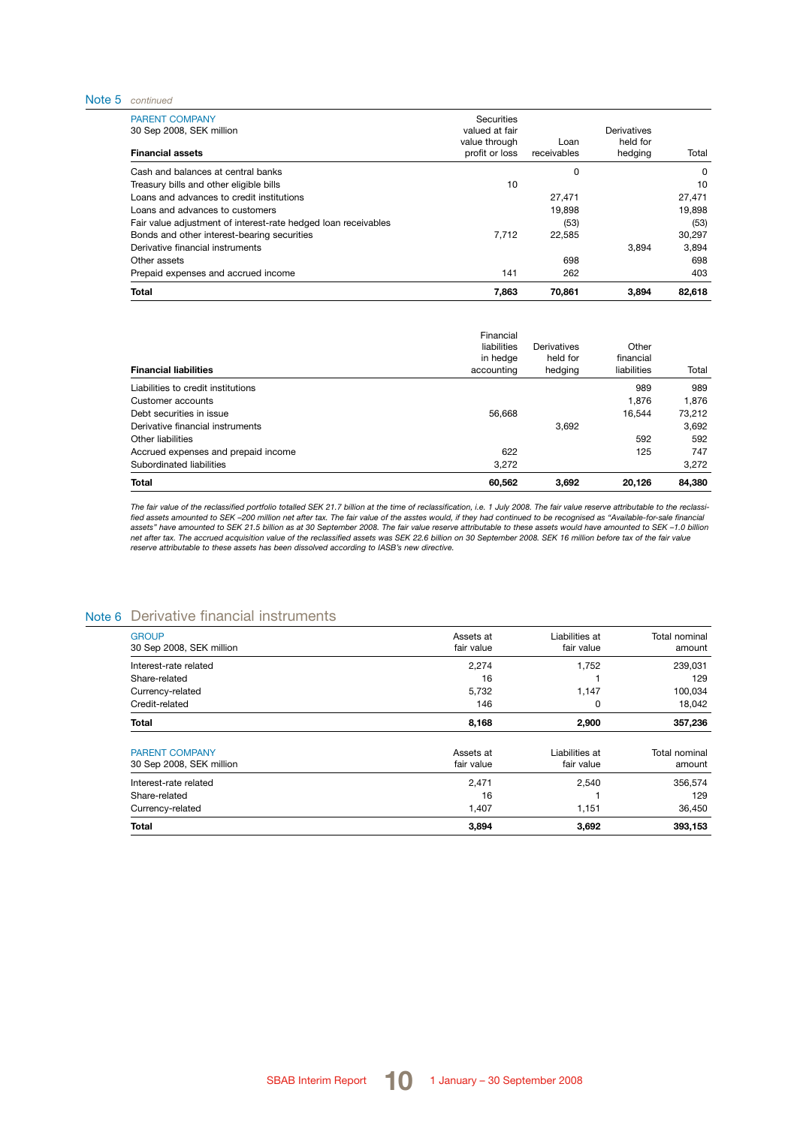### Note 5 *continued*

| <b>Financial assets</b><br>Cash and balances at central banks  | value through<br>profit or loss | Loan<br>receivables<br>0 | held for<br>hedging | Total<br>$\Omega$ |
|----------------------------------------------------------------|---------------------------------|--------------------------|---------------------|-------------------|
| Treasury bills and other eligible bills                        | 10                              |                          |                     | 10                |
| Loans and advances to credit institutions                      |                                 | 27,471                   |                     | 27,471            |
| Loans and advances to customers                                |                                 | 19,898                   |                     | 19.898            |
| Fair value adjustment of interest-rate hedged loan receivables |                                 | (53)                     |                     | (53)              |
| Bonds and other interest-bearing securities                    | 7.712                           | 22,585                   |                     | 30.297            |
| Derivative financial instruments                               |                                 |                          | 3.894               | 3.894             |
| Other assets                                                   |                                 | 698                      |                     | 698               |
| Prepaid expenses and accrued income                            | 141                             | 262                      |                     | 403               |
| <b>Total</b>                                                   | 7.863                           | 70.861                   | 3.894               | 82.618            |

| <b>Financial liabilities</b>        | Financial<br>liabilities<br>in hedge<br>accounting | Derivatives<br>held for<br>hedging | Other<br>financial<br>liabilities | Total  |
|-------------------------------------|----------------------------------------------------|------------------------------------|-----------------------------------|--------|
| Liabilities to credit institutions  |                                                    |                                    | 989                               | 989    |
| Customer accounts                   |                                                    |                                    | 1.876                             | 1.876  |
| Debt securities in issue            | 56.668                                             |                                    | 16.544                            | 73.212 |
| Derivative financial instruments    |                                                    | 3,692                              |                                   | 3.692  |
| Other liabilities                   |                                                    |                                    | 592                               | 592    |
| Accrued expenses and prepaid income | 622                                                |                                    | 125                               | 747    |
| Subordinated liabilities            | 3,272                                              |                                    |                                   | 3,272  |
| <b>Total</b>                        | 60,562                                             | 3.692                              | 20,126                            | 84,380 |

*The fair value of the reclassified portfolio totalled SEK 21.7 billion at the time of reclassification, i.e. 1 July 2008. The fair value reserve attributable to the reclassi*fied assets amounted to SEK –200 million net after tax. The fair value of the asstes would, if they had continued to be recognised as "Available-for-sale financial<br>assets" have amounted to SEK 21.5 billion as at 30 Septemb *reserve attributable to these assets has been dissolved according to IASB's new directive.*

### Note 6 Derivative financial instruments

| <b>GROUP</b><br>30 Sep 2008, SEK million          | Assets at<br>fair value | Liabilities at<br>fair value | Total nominal<br>amount |
|---------------------------------------------------|-------------------------|------------------------------|-------------------------|
| Interest-rate related                             | 2,274                   | 1,752                        | 239,031                 |
| Share-related                                     | 16                      |                              | 129                     |
| Currency-related                                  | 5,732                   | 1,147                        | 100,034                 |
| Credit-related                                    | 146                     | 0                            | 18,042                  |
| <b>Total</b>                                      | 8,168                   | 2,900                        | 357,236                 |
| <b>PARENT COMPANY</b><br>30 Sep 2008, SEK million | Assets at<br>fair value | Liabilities at<br>fair value | Total nominal<br>amount |
| Interest-rate related                             | 2,471                   | 2,540                        | 356,574                 |
| Share-related                                     | 16                      |                              | 129                     |
| Currency-related                                  | 1,407                   | 1,151                        | 36,450                  |
| <b>Total</b>                                      | 3,894                   | 3,692                        | 393,153                 |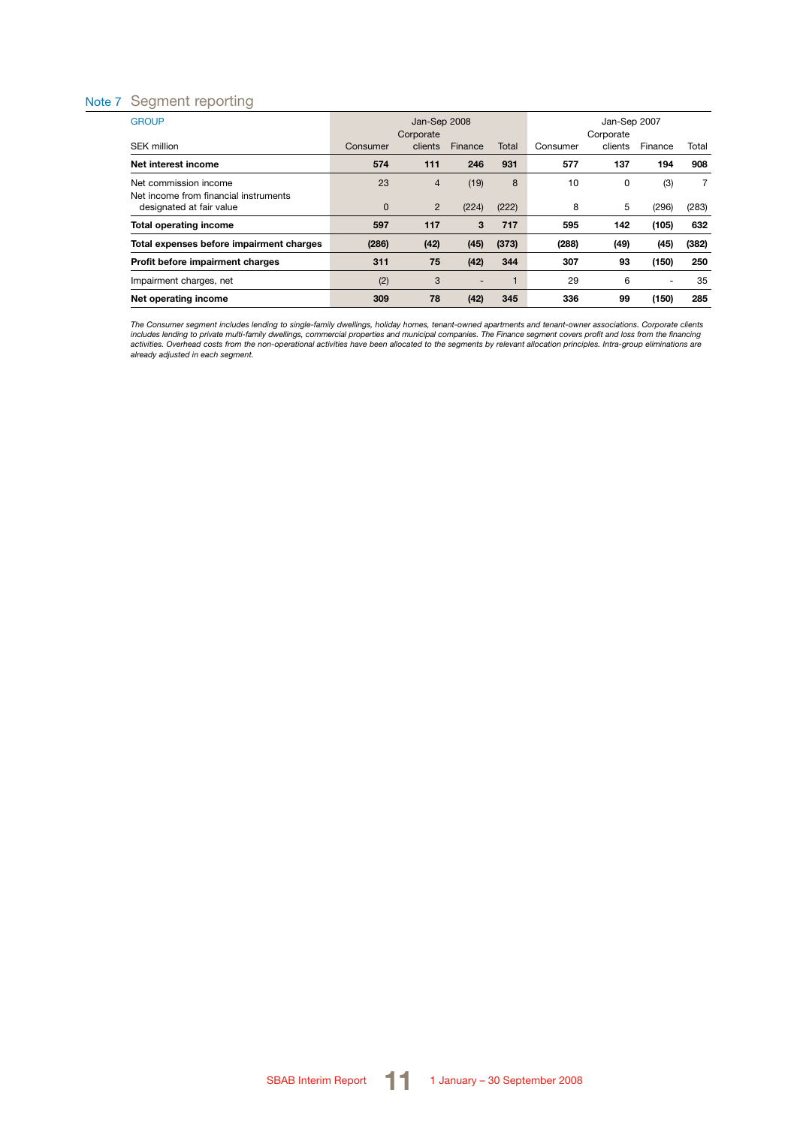### Note 7 Segment reporting

| <b>GROUP</b>                             | Jan-Sep 2008 |                |         | Jan-Sep 2007 |          |           |         |       |
|------------------------------------------|--------------|----------------|---------|--------------|----------|-----------|---------|-------|
|                                          |              | Corporate      |         |              |          | Corporate |         |       |
| <b>SEK million</b>                       | Consumer     | clients        | Finance | Total        | Consumer | clients   | Finance | Total |
| Net interest income                      | 574          | 111            | 246     | 931          | 577      | 137       | 194     | 908   |
| Net commission income                    | 23           | 4              | (19)    | 8            | 10       | 0         | (3)     |       |
| Net income from financial instruments    |              |                |         |              |          |           |         |       |
| designated at fair value                 | $\mathbf{0}$ | $\overline{2}$ | (224)   | (222)        | 8        | 5         | (296)   | (283) |
|                                          |              |                |         |              |          |           |         |       |
| <b>Total operating income</b>            | 597          | 117            | 3       | 717          | 595      | 142       | (105)   | 632   |
| Total expenses before impairment charges | (286)        | (42)           | (45)    | (373)        | (288)    | (49)      | (45)    | (382) |
| Profit before impairment charges         | 311          | 75             | (42)    | 344          | 307      | 93        | (150)   | 250   |
| Impairment charges, net                  | (2)          | 3              |         |              | 29       | 6         |         | 35    |
| Net operating income                     | 309          | 78             | (42)    | 345          | 336      | 99        | (150)   | 285   |

The Consumer segment includes lending to single-family dwellings, holiday homes, tenant-owned apartments and tenant-owner associations. Corporate clients<br>includes lending to private multi-family dwellings, commercial prope *already adjusted in each segment.*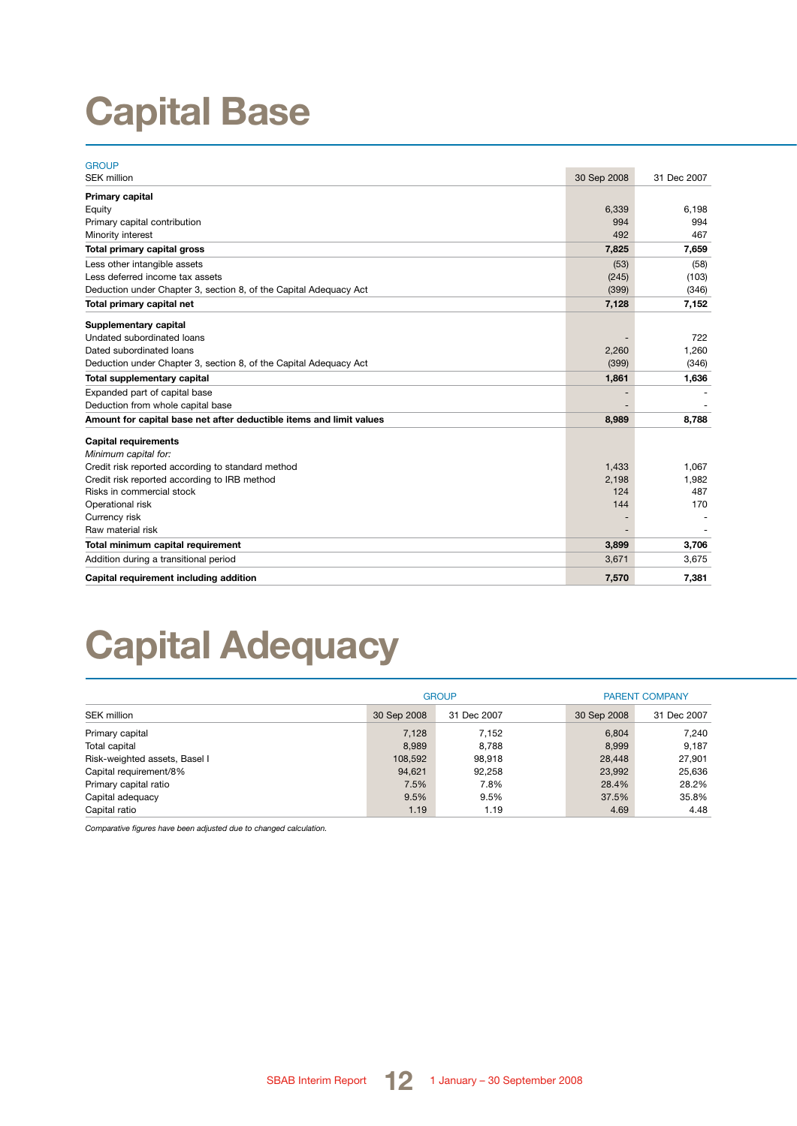# **Capital Base**

| <b>GROUP</b>                                                        |             |             |
|---------------------------------------------------------------------|-------------|-------------|
| <b>SEK million</b>                                                  | 30 Sep 2008 | 31 Dec 2007 |
| Primary capital                                                     |             |             |
| Equity                                                              | 6,339       | 6,198       |
| Primary capital contribution                                        | 994         | 994         |
| Minority interest                                                   | 492         | 467         |
| Total primary capital gross                                         | 7,825       | 7,659       |
| Less other intangible assets                                        | (53)        | (58)        |
| Less deferred income tax assets                                     | (245)       | (103)       |
| Deduction under Chapter 3, section 8, of the Capital Adequacy Act   | (399)       | (346)       |
| Total primary capital net                                           | 7,128       | 7,152       |
| Supplementary capital                                               |             |             |
| Undated subordinated loans                                          |             | 722         |
| Dated subordinated loans                                            | 2,260       | 1,260       |
| Deduction under Chapter 3, section 8, of the Capital Adequacy Act   | (399)       | (346)       |
| <b>Total supplementary capital</b>                                  | 1,861       | 1,636       |
| Expanded part of capital base                                       |             |             |
| Deduction from whole capital base                                   |             |             |
| Amount for capital base net after deductible items and limit values | 8,989       | 8,788       |
| <b>Capital requirements</b>                                         |             |             |
| Minimum capital for:                                                |             |             |
| Credit risk reported according to standard method                   | 1,433       | 1,067       |
| Credit risk reported according to IRB method                        | 2,198       | 1,982       |
| Risks in commercial stock                                           | 124         | 487         |
| Operational risk                                                    | 144         | 170         |
| Currency risk                                                       |             |             |
| Raw material risk                                                   |             |             |
| Total minimum capital requirement                                   | 3,899       | 3,706       |
| Addition during a transitional period                               | 3,671       | 3,675       |
| Capital requirement including addition                              | 7,570       | 7,381       |

### **Capital Adequacy**

|                               |             | <b>GROUP</b> | <b>PARENT COMPANY</b> |             |  |
|-------------------------------|-------------|--------------|-----------------------|-------------|--|
| SEK million                   | 30 Sep 2008 | 31 Dec 2007  | 30 Sep 2008           | 31 Dec 2007 |  |
| Primary capital               | 7.128       | 7.152        | 6.804                 | 7.240       |  |
| Total capital                 | 8,989       | 8.788        | 8,999                 | 9,187       |  |
| Risk-weighted assets, Basel I | 108.592     | 98.918       | 28,448                | 27.901      |  |
| Capital requirement/8%        | 94.621      | 92.258       | 23.992                | 25,636      |  |
| Primary capital ratio         | 7.5%        | 7.8%         | 28.4%                 | 28.2%       |  |
| Capital adequacy              | 9.5%        | 9.5%         | 37.5%                 | 35.8%       |  |
| Capital ratio                 | 1.19        | 1.19         | 4.69                  | 4.48        |  |

*Comparative figures have been adjusted due to changed calculation.*